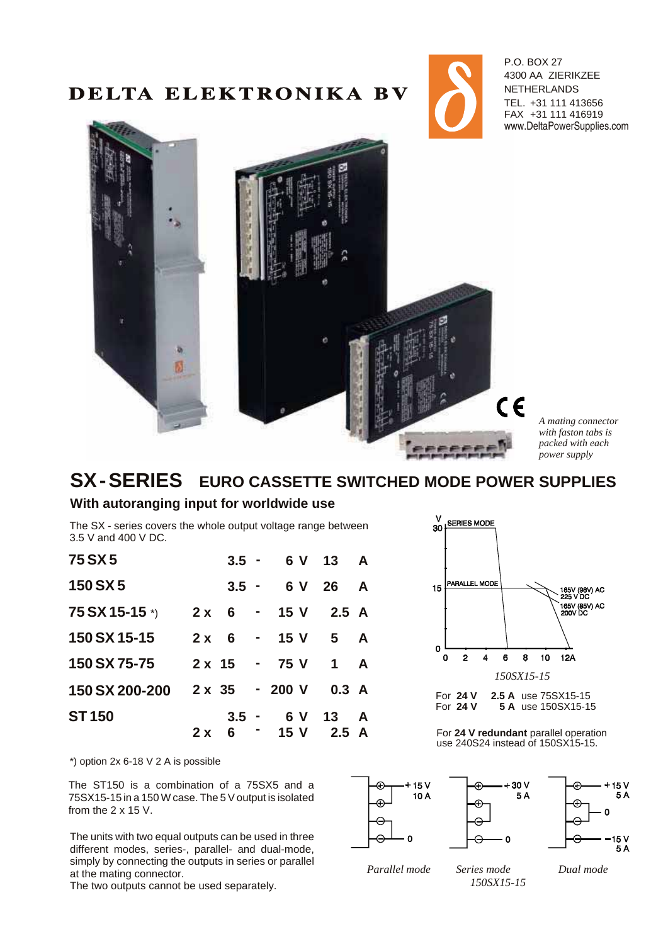# DELTA ELEKTRONIKA BV



P.O. BOX 27 4300 AA ZIERIKZEE **NETHERLANDS** TEL. +31 111 413656 FAX +31 111 416919 www.DeltaPowerSupplies.com



*A mat ing con nec tor with faston tabs is packed with each power supply* 

# **SX-SERIES** EURO CASSETTE SWITCHED MODE POWER SUPPLIES

#### **With autoranging input for worldwide use**

The SX - series covers the whole output voltage range between 3.5 V and 400 V DC.

| 75 SX 5                                          |  |  | $3.5 - 6V$ 13 A        |  |
|--------------------------------------------------|--|--|------------------------|--|
| <b>150 SX 5</b>                                  |  |  | $3.5 - 6V$ 26 A        |  |
| $75 S X 15-15$ <sup>*</sup> ) 2 x 6 - 15 V 2.5 A |  |  |                        |  |
| 150 SX 15-15                                     |  |  | $2x + 6 - 15y + 5 = A$ |  |
| 150 SX 75-75 2 x 15 - 75 V 1 A                   |  |  |                        |  |
| 150 SX 200-200 2 x 35 - 200 V 0.3 A              |  |  |                        |  |
| <b>ST150</b>                                     |  |  | $3.5 - 6V$ 13 A        |  |
|                                                  |  |  | $2x + 6 = 15$ V 2.5 A  |  |

 $*$ ) option 2x 6-18 V 2 A is possible

The ST150 is a combination of a 75SX5 and a 75SX15-15 in a 150 W case. The 5 V output is isolated from the 2 x 15 V.

The units with two equal outputs can be used in three different modes, series-, parallel- and dual-mode, simply by connecting the outputs in series or parallel at the mating connector.

The two outputs cannot be used separately.



**5 A** use 150SX15-15

For 24 V redundant parallel operation use 240S24 instead of 150SX15-15.



*Parallel mode Series mode Dual mode*

*150SX15-15*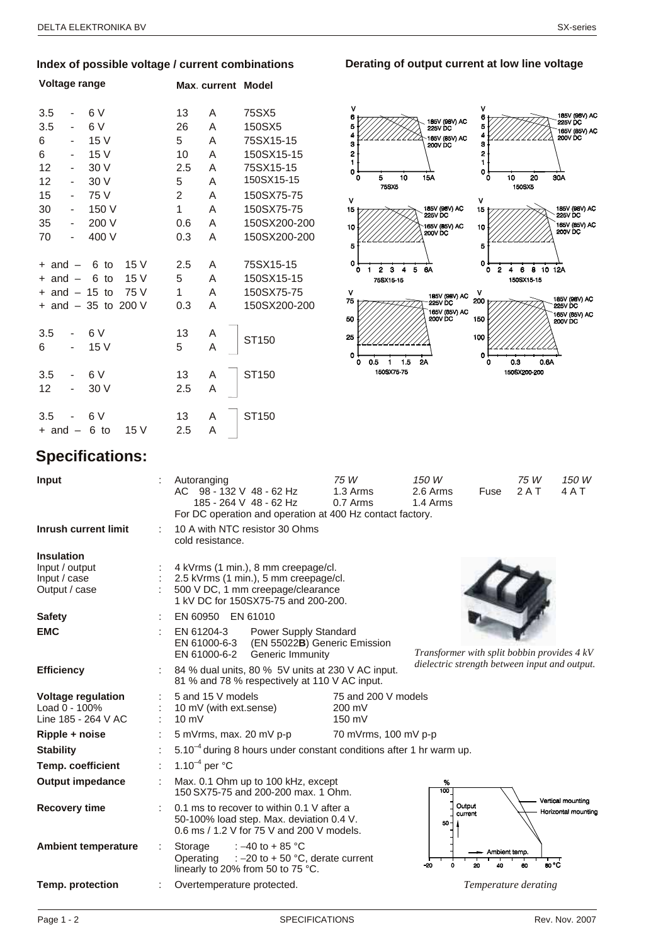#### Index of possible voltage / current combinations

| Voltage range      |                              |                      |      |           | Max. current Model |                   |
|--------------------|------------------------------|----------------------|------|-----------|--------------------|-------------------|
| 3.5                |                              | 6 V                  |      | 13        | A                  | 75SX5             |
| 3.5                |                              | 6 V                  |      | 26        | A                  | 150SX5            |
| 6                  | -                            | 15 V                 |      | 5         | A                  | 75SX15-15         |
| 6                  | $\qquad \qquad \blacksquare$ | 15 V                 |      | 10        | A                  | 150SX15-15        |
| 12                 | $\overline{\phantom{0}}$     | 30 V                 |      | 2.5       | A                  | 75SX15-15         |
| 12                 | -                            | 30 V                 |      | 5         | A                  | 150SX15-15        |
| 15                 | $\overline{\phantom{0}}$     | 75 V                 |      | 2         | A                  | 150SX75-75        |
| 30                 | $\overline{\phantom{0}}$     | 150 V                |      | 1         | A                  | 150SX75-75        |
| 35                 | $\overline{\phantom{0}}$     | 200 V                |      | 0.6       | A                  | 150SX200-200      |
| 70                 |                              | 400 V                |      | 0.3       | A                  | 150SX200-200      |
| $+$ and $-$        |                              | 6 to                 | 15 V | 2.5       | A                  | 75SX15-15         |
| $+$ and $-$        |                              | 6<br>to              | 15 V | 5         | A                  | 150SX15-15        |
| $+$ and $-$ 15 to  |                              |                      | 75 V | 1         | A                  | 150SX75-75        |
|                    |                              | + and $-35$ to 200 V |      | 0.3       | A                  | 150SX200-200      |
| 3.5<br>6           |                              | 6 V<br>15V           |      | 13<br>5   | A<br>A             | ST150             |
| 3.5<br>12          |                              | 6V<br>30 V           |      | 13<br>2.5 | A<br>A             | ST <sub>150</sub> |
| 3.5<br>$+$ and $-$ |                              | 6 V<br>6 to          | 15 V | 13<br>2.5 | A<br>A             | ST150             |



Derating of output current at low line voltage

# **Specifications:**

| Input                                                                | Autoranging<br>AC 98 - 132 V 48 - 62 Hz<br>185 - 264 V 48 - 62 Hz<br>For DC operation and operation at 400 Hz contact factory.                           | 75 W<br>1.3 Arms<br>0.7 Arms                                              | 150 W<br>2.6 Arms<br>Fuse<br>1.4 Arms       | 75 W<br>150 W<br>2AT<br>4AT              |  |
|----------------------------------------------------------------------|----------------------------------------------------------------------------------------------------------------------------------------------------------|---------------------------------------------------------------------------|---------------------------------------------|------------------------------------------|--|
| <b>Inrush current limit</b>                                          | 10 A with NTC resistor 30 Ohms<br>cold resistance.                                                                                                       |                                                                           |                                             |                                          |  |
| <b>Insulation</b><br>Input / output<br>Input / case<br>Output / case | 4 kVrms (1 min.), 8 mm creepage/cl.<br>2.5 kVrms (1 min.), 5 mm creepage/cl.<br>500 V DC, 1 mm creepage/clearance<br>1 kV DC for 150SX75-75 and 200-200. |                                                                           |                                             |                                          |  |
| <b>Safety</b>                                                        | EN 60950 EN 61010                                                                                                                                        |                                                                           |                                             |                                          |  |
| <b>EMC</b>                                                           | EN 61204-3<br>Power Supply Standard<br>EN 61000-6-3<br>(EN 55022B) Generic Emission<br>EN 61000-6-2<br>Generic Immunity                                  |                                                                           | Transformer with split bobbin provides 4 kV |                                          |  |
| <b>Efficiency</b>                                                    | dielectric strength between input and output.<br>84 % dual units, 80 % 5V units at 230 V AC input.<br>81 % and 78 % respectively at 110 V AC input.      |                                                                           |                                             |                                          |  |
| <b>Voltage regulation</b><br>Load 0 - 100%<br>Line 185 - 264 V AC    | 5 and 15 V models<br>10 mV (with ext.sense)<br>$10 \text{ mV}$                                                                                           | 75 and 200 V models<br>200 mV<br>150 mV                                   |                                             |                                          |  |
| Ripple + noise                                                       | 5 mVrms, max. 20 mV p-p                                                                                                                                  | 70 mVrms, 100 mV p-p                                                      |                                             |                                          |  |
| <b>Stability</b>                                                     | $5.10^{-4}$ during 8 hours under constant conditions after 1 hr warm up.                                                                                 |                                                                           |                                             |                                          |  |
| Temp. coefficient                                                    | 1.10 <sup>-4</sup> per $^{\circ}$ C                                                                                                                      |                                                                           |                                             |                                          |  |
| <b>Output impedance</b>                                              | ÷                                                                                                                                                        | Max. 0.1 Ohm up to 100 kHz, except<br>150 SX75-75 and 200-200 max, 1 Ohm. |                                             |                                          |  |
| <b>Recovery time</b>                                                 | 0.1 ms to recover to within 0.1 V after a<br>50-100% load step. Max. deviation 0.4 V.<br>0.6 ms / 1.2 V for 75 V and 200 V models.                       |                                                                           | Output<br>current<br>50                     | Vertical mounting<br>Horizontal mounting |  |
| <b>Ambient temperature</b>                                           | : $-40$ to + 85 °C<br>Storage<br>Operating<br>: $-20$ to $+50$ °C, derate current<br>linearly to 20% from 50 to 75 °C.                                   |                                                                           | -20                                         | - Ambient temp.<br>ao °C<br>60<br>40     |  |
| <b>Temp. protection</b>                                              | Overtemperature protected.                                                                                                                               |                                                                           |                                             | Temperature derating                     |  |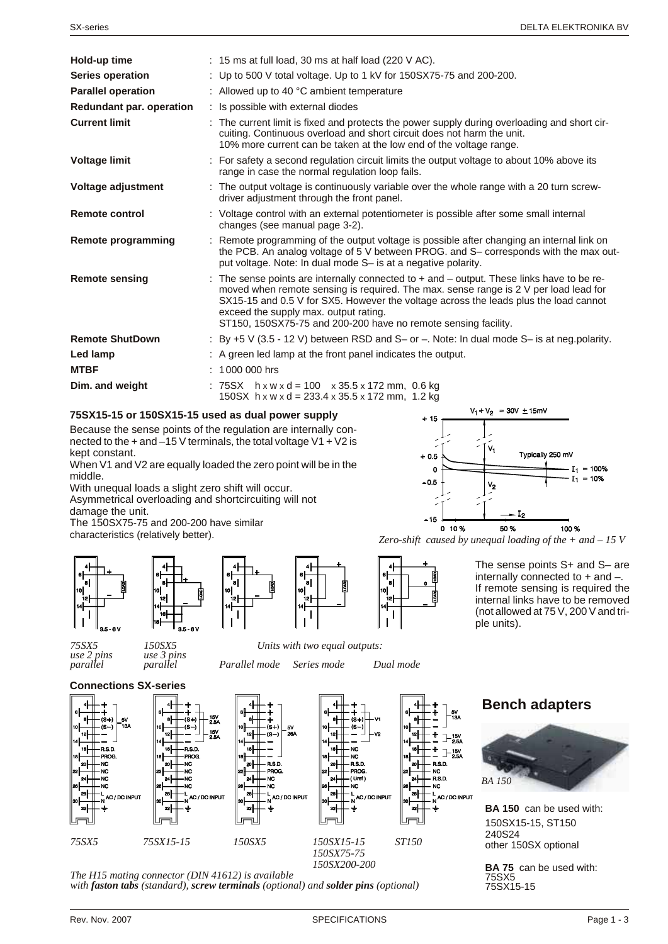| Hold-up time              | $: 15 \text{ ms}$ at full load, 30 ms at half load (220 V AC).                                                                                                                                                                                                                                                                                                                           |
|---------------------------|------------------------------------------------------------------------------------------------------------------------------------------------------------------------------------------------------------------------------------------------------------------------------------------------------------------------------------------------------------------------------------------|
| Series operation          | : Up to 500 V total voltage. Up to 1 kV for 150SX75-75 and 200-200.                                                                                                                                                                                                                                                                                                                      |
| <b>Parallel operation</b> | : Allowed up to 40 $^{\circ}$ C ambient temperature                                                                                                                                                                                                                                                                                                                                      |
| Redundant par. operation  | : Is possible with external diodes                                                                                                                                                                                                                                                                                                                                                       |
| <b>Current limit</b>      | : The current limit is fixed and protects the power supply during overloading and short cir-<br>cuiting. Continuous overload and short circuit does not harm the unit.<br>10% more current can be taken at the low end of the voltage range.                                                                                                                                             |
| <b>Voltage limit</b>      | : For safety a second regulation circuit limits the output voltage to about 10% above its<br>range in case the normal regulation loop fails.                                                                                                                                                                                                                                             |
| Voltage adjustment        | : The output voltage is continuously variable over the whole range with a 20 turn screw-<br>driver adjustment through the front panel.                                                                                                                                                                                                                                                   |
| <b>Remote control</b>     | : Voltage control with an external potentiometer is possible after some small internal<br>changes (see manual page 3-2).                                                                                                                                                                                                                                                                 |
| Remote programming        | : Remote programming of the output voltage is possible after changing an internal link on<br>the PCB. An analog voltage of 5 V between PROG. and S- corresponds with the max out-<br>put voltage. Note: In dual mode S- is at a negative polarity.                                                                                                                                       |
| <b>Remote sensing</b>     | : The sense points are internally connected to $+$ and $-$ output. These links have to be re-<br>moved when remote sensing is required. The max. sense range is 2 V per load lead for<br>SX15-15 and 0.5 V for SX5. However the voltage across the leads plus the load cannot<br>exceed the supply max. output rating.<br>ST150, 150SX75-75 and 200-200 have no remote sensing facility. |
| <b>Remote ShutDown</b>    | : By $+5$ V (3.5 - 12 V) between RSD and S- or $-$ . Note: In dual mode S- is at neg.polarity.                                                                                                                                                                                                                                                                                           |
| Led lamp                  | : A green led lamp at the front panel indicates the output.                                                                                                                                                                                                                                                                                                                              |
| <b>MTBF</b>               | $: 1000000$ hrs                                                                                                                                                                                                                                                                                                                                                                          |
| Dim. and weight           | : $75SX$ h x w x d = 100 x 35.5 x 172 mm, 0.6 kg<br>150 SX h x w x d = 233.4 x 35.5 x 172 mm, 1.2 kg                                                                                                                                                                                                                                                                                     |

#### **75SX15-15 or 150SX15-15 used as dual power supply**

Because the sense points of the regulation are internally connected to the  $+$  and  $-15$  V terminals, the total voltage V1  $+$  V2 is kept constant.

When V1 and V2 are equally loaded the zero point will be in the middle.

With unequal loads a slight zero shift will occur.

Asymmetrical overloading and shortcircuiting will not damage the unit.

The 150SX75-75 and 200-200 have similar characteristics (relatively better).









*par al lel parallel Par allel mode Se ries mode Dual mode*



**c** to **6 termins (brack)**<br>*Zero-shift caused by unequal loading of the + and – 15 V* 

The sense points S+ and S– are internally connected to  $+$  and  $-$ . If remote sensing is required the internal links have to be removed (not allowed at  $75$  V, 200 V and triple units).

#### **Connections SX-series**

*use 2 pins use 3 pins*







**Limi** 

The H15 mating connector (DIN 41612) is available *with faston tabs (standard), screw terminals (optional) and solder pins (optional)* 

4  $\overline{1}$  $7-15$ . nen NC<br>RSD: NC AC / DC INPUT

### **Bench adapters**



**BA 150** can be used with: 150SX15-15, ST150 240S24 other 150SX optional

**BA 75** can be used with: 75SX5 75SX15-15